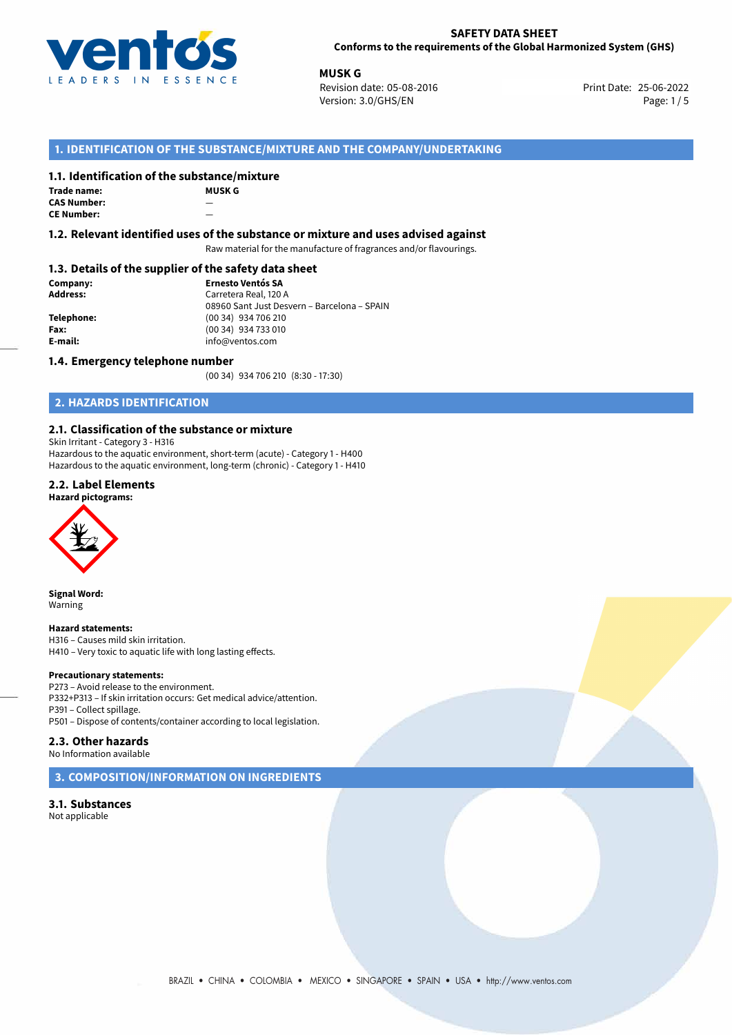

**MUSK G**<br>25-06-2022 **Revision date: 05-08-2016** Print Date: 25-06-2022 Version: 3.0/GHS/EN Page: 1/5

# **1. IDENTIFICATION OF THE SUBSTANCE/MIXTURE AND THE COMPANY/UNDERTAKING**

## **1.1. Identification of the substance/mixture**

**Trade name: CAS Number:** — **CE Number:** 

**MUSK G**

## **1.2. Relevant identified uses of the substance or mixture and uses advised against**

Raw material for the manufacture of fragrances and/or flavourings.

## **1.3. Details of the supplier of the safety data sheet**

**Company: Ernesto Ventós SA Address:** Carretera Real, 120 A 08960 Sant Just Desvern – Barcelona – SPAIN **Telephone:** (00 34) 934 706 210 **Fax:** (00 34) 934 733 010<br> **E-mail: E-mail:** info@ventos.com **E-mail:** info@ventos.com

## **1.4. Emergency telephone number**

(00 34) 934 706 210 (8:30 - 17:30)

# **2. HAZARDS IDENTIFICATION**

## **2.1. Classification of the substance or mixture**

Skin Irritant - Category 3 - H316

Hazardous to the aquatic environment, short-term (acute) - Category 1 - H400 Hazardous to the aquatic environment, long-term (chronic) - Category 1 - H410

## **2.2. Label Elements**

## **Hazard pictograms:**



**Signal Word:** Warning

#### **Hazard statements:**

H316 – Causes mild skin irritation. H410 – Very toxic to aquatic life with long lasting effects.

#### **Precautionary statements:**

P273 – Avoid release to the environment. P332+P313 – If skin irritation occurs: Get medical advice/attention. P391 – Collect spillage. P501 – Dispose of contents/container according to local legislation.

## **2.3. Other hazards**

No Information available

**3. COMPOSITION/INFORMATION ON INGREDIENTS**

**3.1. Substances** Not applicable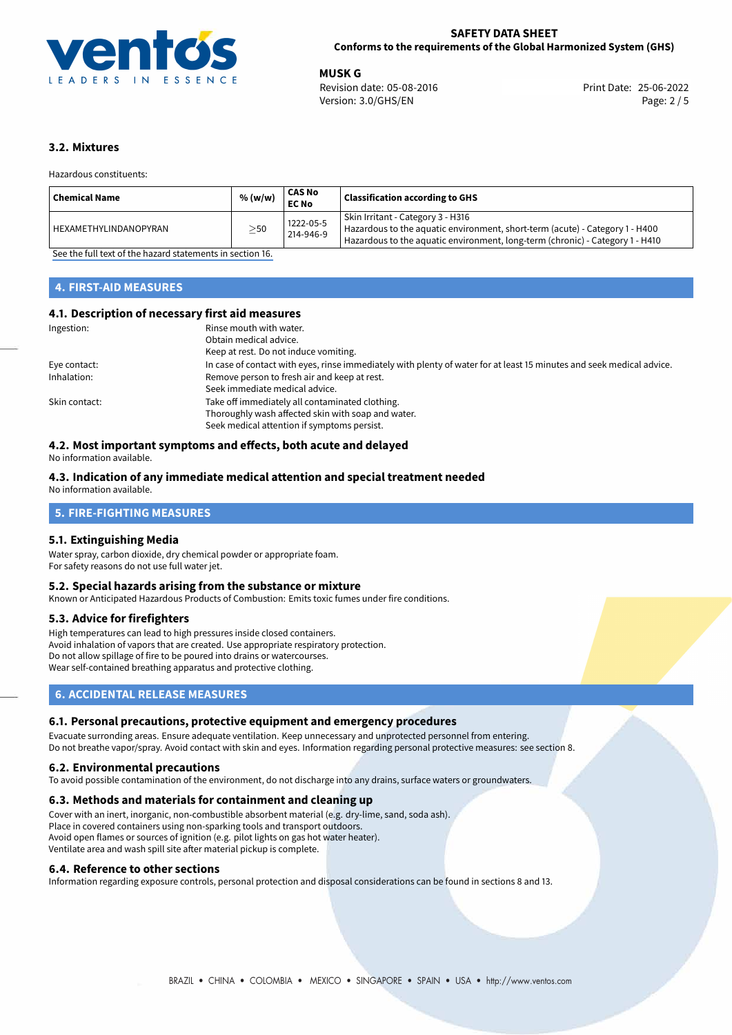

**MUSK G**<br>
Revision date: 05-08-2016 **Print Date: 25-06-2022** Print Date: 25-06-2022 Version: 3.0/GHS/EN Page: 2 / 5

# **3.2. Mixtures**

Hazardous constituents:

| Chemical Name           | % (w/w)   | CAS No<br><b>EC No</b> | <b>Classification according to GHS</b>                                                                                                                                                             |
|-------------------------|-----------|------------------------|----------------------------------------------------------------------------------------------------------------------------------------------------------------------------------------------------|
| l HEXAMETHYLINDANOPYRAN | $\geq$ 50 | 1222-05-5<br>214-946-9 | Skin Irritant - Category 3 - H316<br>Hazardous to the aquatic environment, short-term (acute) - Category 1 - H400<br>Hazardous to the aquatic environment, long-term (chronic) - Category 1 - H410 |

[See the full text of the hazard statements in section 16.](#page-4-0)

# **4. FIRST-AID MEASURES**

# **4.1. Description of necessary first aid measures**

| Ingestion:    | Rinse mouth with water.<br>Obtain medical advice.<br>Keep at rest. Do not induce vomiting.                                                           |
|---------------|------------------------------------------------------------------------------------------------------------------------------------------------------|
| Eye contact:  | In case of contact with eyes, rinse immediately with plenty of water for at least 15 minutes and seek medical advice.                                |
| Inhalation:   | Remove person to fresh air and keep at rest.<br>Seek immediate medical advice.                                                                       |
| Skin contact: | Take off immediately all contaminated clothing.<br>Thoroughly wash affected skin with soap and water.<br>Seek medical attention if symptoms persist. |

# **4.2. Most important symptoms and effects, both acute and delayed**

No information available.

### **4.3. Indication of any immediate medical attention and special treatment needed** No information available.

# **5. FIRE-FIGHTING MEASURES**

## **5.1. Extinguishing Media**

Water spray, carbon dioxide, dry chemical powder or appropriate foam. For safety reasons do not use full water jet.

## **5.2. Special hazards arising from the substance or mixture**

Known or Anticipated Hazardous Products of Combustion: Emits toxic fumes under fire conditions.

## **5.3. Advice for firefighters**

High temperatures can lead to high pressures inside closed containers. Avoid inhalation of vapors that are created. Use appropriate respiratory protection. Do not allow spillage of fire to be poured into drains or watercourses. Wear self-contained breathing apparatus and protective clothing.

# **6. ACCIDENTAL RELEASE MEASURES**

## **6.1. Personal precautions, protective equipment and emergency procedures**

Evacuate surronding areas. Ensure adequate ventilation. Keep unnecessary and unprotected personnel from entering. Do not breathe vapor/spray. Avoid contact with skin and eyes. Information regarding personal protective measures: see section 8.

## **6.2. Environmental precautions**

To avoid possible contamination of the environment, do not discharge into any drains, surface waters or groundwaters.

## **6.3. Methods and materials for containment and cleaning up**

Cover with an inert, inorganic, non-combustible absorbent material (e.g. dry-lime, sand, soda ash).

Place in covered containers using non-sparking tools and transport outdoors. Avoid open flames or sources of ignition (e.g. pilot lights on gas hot water heater).

Ventilate area and wash spill site after material pickup is complete.

## **6.4. Reference to other sections**

Information regarding exposure controls, personal protection and disposal considerations can be found in sections 8 and 13.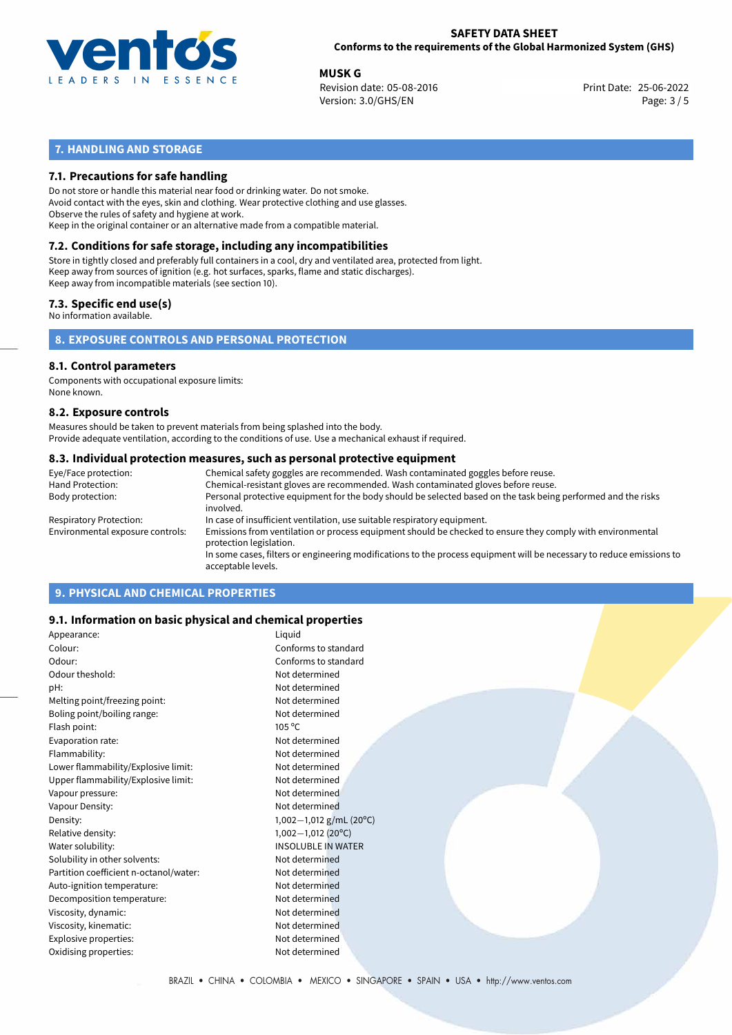

**MUSK G**<br>
Revision date: 05-08-2016 **Print Date: 25-06-2022** Print Date: 25-06-2022 Version: 3.0/GHS/EN Page: 3 / 5

# **7. HANDLING AND STORAGE**

# **7.1. Precautions for safe handling**

Do not store or handle this material near food or drinking water. Do not smoke. Avoid contact with the eyes, skin and clothing. Wear protective clothing and use glasses. Observe the rules of safety and hygiene at work. Keep in the original container or an alternative made from a compatible material.

# **7.2. Conditions for safe storage, including any incompatibilities**

Store in tightly closed and preferably full containers in a cool, dry and ventilated area, protected from light. Keep away from sources of ignition (e.g. hot surfaces, sparks, flame and static discharges). Keep away from incompatible materials (see section 10).

## **7.3. Specific end use(s)**

No information available.

**8. EXPOSURE CONTROLS AND PERSONAL PROTECTION**

# **8.1. Control parameters**

Components with occupational exposure limits: None known.

## **8.2. Exposure controls**

Measures should be taken to prevent materials from being splashed into the body. Provide adequate ventilation, according to the conditions of use. Use a mechanical exhaust if required.

## **8.3. Individual protection measures, such as personal protective equipment**

| Eye/Face protection:             | Chemical safety goggles are recommended. Wash contaminated goggles before reuse.                                                            |  |  |  |  |
|----------------------------------|---------------------------------------------------------------------------------------------------------------------------------------------|--|--|--|--|
| Hand Protection:                 | Chemical-resistant gloves are recommended. Wash contaminated gloves before reuse.                                                           |  |  |  |  |
| Body protection:                 | Personal protective equipment for the body should be selected based on the task being performed and the risks<br>involved.                  |  |  |  |  |
| Respiratory Protection:          | In case of insufficient ventilation, use suitable respiratory equipment.                                                                    |  |  |  |  |
| Environmental exposure controls: | Emissions from ventilation or process equipment should be checked to ensure they comply with environmental<br>protection legislation.       |  |  |  |  |
|                                  | In some cases, filters or engineering modifications to the process equipment will be necessary to reduce emissions to<br>acceptable levels. |  |  |  |  |
|                                  |                                                                                                                                             |  |  |  |  |

# **9. PHYSICAL AND CHEMICAL PROPERTIES**

## **9.1. Information on basic physical and chemical properties**

| Appearance:                            | Liquid                    |
|----------------------------------------|---------------------------|
| Colour:                                | Conforms to standard      |
| Odour:                                 | Conforms to standard      |
| Odour theshold:                        | Not determined            |
| pH:                                    | Not determined            |
| Melting point/freezing point:          | Not determined            |
| Boling point/boiling range:            | Not determined            |
| Flash point:                           | $105^{\circ}$ C           |
| Evaporation rate:                      | Not determined            |
| Flammability:                          | Not determined            |
| Lower flammability/Explosive limit:    | Not determined            |
| Upper flammability/Explosive limit:    | Not determined            |
| Vapour pressure:                       | Not determined            |
| Vapour Density:                        | Not determined            |
| Density:                               | 1,002-1,012 g/mL (20°C)   |
| Relative density:                      | $1,002-1,012$ (20°C)      |
| Water solubility:                      | <b>INSOLUBLE IN WATER</b> |
| Solubility in other solvents:          | Not determined            |
| Partition coefficient n-octanol/water: | Not determined            |
| Auto-ignition temperature:             | Not determined            |
| Decomposition temperature:             | Not determined            |
| Viscosity, dynamic:                    | Not determined            |
| Viscosity, kinematic:                  | Not determined            |
| Explosive properties:                  | Not determined            |
| Oxidising properties:                  | Not determined            |
|                                        |                           |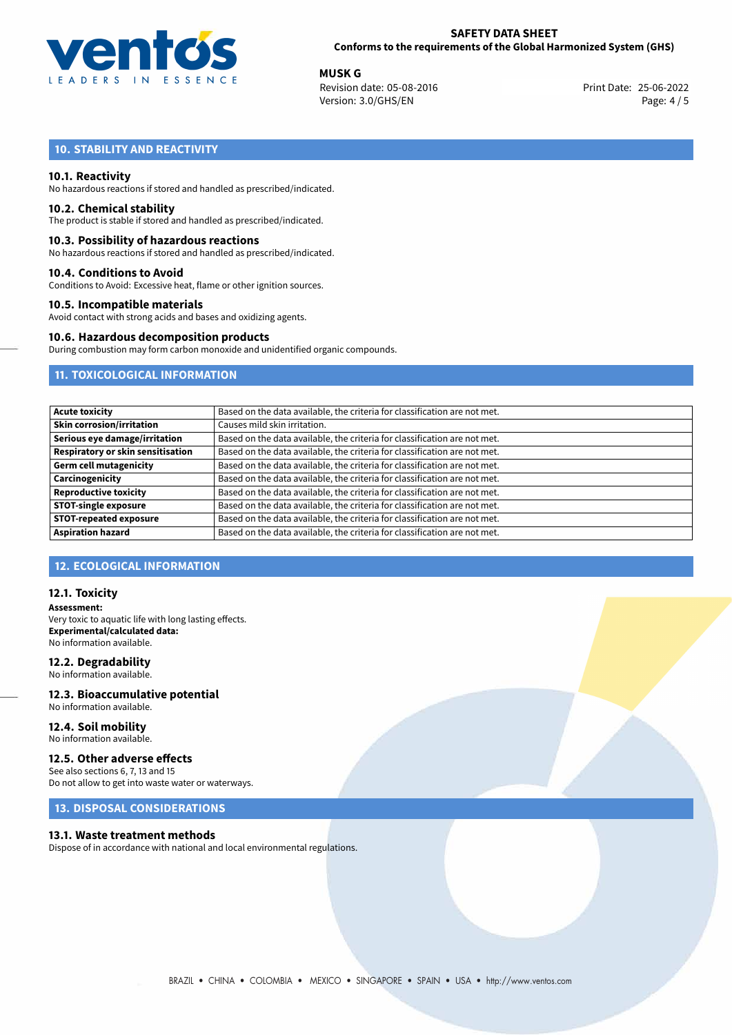

**MUSK G**<br>
Revision date: 05-08-2016 **Print Date: 25-06-2022** Print Date: 25-06-2022 Version: 3.0/GHS/EN Page: 4 / 5

# **10. STABILITY AND REACTIVITY**

## **10.1. Reactivity**

No hazardous reactions if stored and handled as prescribed/indicated.

## **10.2. Chemical stability**

The product is stable if stored and handled as prescribed/indicated.

## **10.3. Possibility of hazardous reactions**

No hazardous reactions if stored and handled as prescribed/indicated.

### **10.4. Conditions to Avoid**

Conditions to Avoid: Excessive heat, flame or other ignition sources.

## **10.5. Incompatible materials**

Avoid contact with strong acids and bases and oxidizing agents.

### **10.6. Hazardous decomposition products**

During combustion may form carbon monoxide and unidentified organic compounds.

# **11. TOXICOLOGICAL INFORMATION**

| <b>Acute toxicity</b>                    | Based on the data available, the criteria for classification are not met. |
|------------------------------------------|---------------------------------------------------------------------------|
| <b>Skin corrosion/irritation</b>         | Causes mild skin irritation.                                              |
| Serious eye damage/irritation            | Based on the data available, the criteria for classification are not met. |
| <b>Respiratory or skin sensitisation</b> | Based on the data available, the criteria for classification are not met. |
| <b>Germ cell mutagenicity</b>            | Based on the data available, the criteria for classification are not met. |
| Carcinogenicity                          | Based on the data available, the criteria for classification are not met. |
| <b>Reproductive toxicity</b>             | Based on the data available, the criteria for classification are not met. |
| <b>STOT-single exposure</b>              | Based on the data available, the criteria for classification are not met. |
| <b>STOT-repeated exposure</b>            | Based on the data available, the criteria for classification are not met. |
| <b>Aspiration hazard</b>                 | Based on the data available, the criteria for classification are not met. |

## **12. ECOLOGICAL INFORMATION**

## **12.1. Toxicity**

**Assessment:** Very toxic to aquatic life with long lasting effects. **Experimental/calculated data:** No information available.

## **12.2. Degradability**

No information available.

### **12.3. Bioaccumulative potential** No information available.

**12.4. Soil mobility** No information available.

## **12.5. Other adverse effects**

See also sections 6, 7, 13 and 15 Do not allow to get into waste water or waterways.

# **13. DISPOSAL CONSIDERATIONS**

## **13.1. Waste treatment methods**

Dispose of in accordance with national and local environmental regulations.